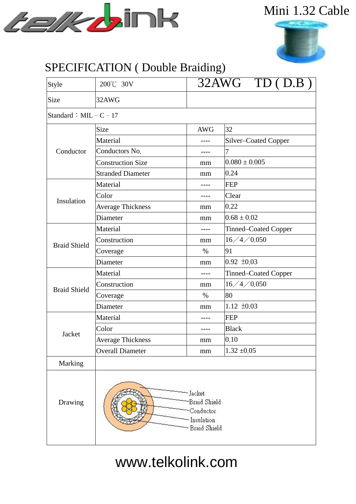

### Mini 1.32 Cable



#### SPECIFICATION ( Double Braiding)

| Style                     | 200℃ 30V                 | $\overline{32\text{AWG}}$ TD (D.B)                                  |                      |  |  |  |  |  |
|---------------------------|--------------------------|---------------------------------------------------------------------|----------------------|--|--|--|--|--|
| Size                      | 32AWG                    |                                                                     |                      |  |  |  |  |  |
| Standard : MIL - $C - 17$ |                          |                                                                     |                      |  |  |  |  |  |
| Conductor                 | Size                     | <b>AWG</b>                                                          | 32                   |  |  |  |  |  |
|                           | Material                 |                                                                     | Silver-Coated Copper |  |  |  |  |  |
|                           | Conductors No.           |                                                                     | 7                    |  |  |  |  |  |
|                           | <b>Construction Size</b> | mm                                                                  | $0.080 \pm 0.005$    |  |  |  |  |  |
|                           | <b>Stranded Diameter</b> | mm                                                                  | 0.24                 |  |  |  |  |  |
| Insulation                | Material                 | ----                                                                | <b>FEP</b>           |  |  |  |  |  |
|                           | Color                    | ----                                                                | Clear                |  |  |  |  |  |
|                           | <b>Average Thickness</b> | mm                                                                  | 0.22                 |  |  |  |  |  |
|                           | Diameter                 | mm                                                                  | $0.68 \pm 0.02$      |  |  |  |  |  |
| <b>Braid Shield</b>       | Material                 |                                                                     | Tinned-Coated Copper |  |  |  |  |  |
|                           | Construction             | mm                                                                  | 16/4/0.050           |  |  |  |  |  |
|                           | Coverage                 | $\%$                                                                | 91                   |  |  |  |  |  |
|                           | Diameter                 | mm                                                                  | $0.92 \pm 0.03$      |  |  |  |  |  |
| <b>Braid Shield</b>       | Material                 | ----                                                                | Tinned-Coated Copper |  |  |  |  |  |
|                           | Construction             | mm                                                                  | 16/4/0.050           |  |  |  |  |  |
|                           | Coverage                 | $\%$                                                                | 80                   |  |  |  |  |  |
|                           | Diameter                 | mm                                                                  | $1.12 \pm 0.03$      |  |  |  |  |  |
| Jacket                    | Material                 | ----                                                                | <b>FEP</b>           |  |  |  |  |  |
|                           | Color                    |                                                                     | <b>Black</b>         |  |  |  |  |  |
|                           | Average Thickness        | mm                                                                  | 0.10                 |  |  |  |  |  |
|                           | <b>Overall Diameter</b>  | mm                                                                  | $1.32 \pm 0.05$      |  |  |  |  |  |
| Marking                   |                          |                                                                     |                      |  |  |  |  |  |
| Drawing                   |                          | - Jacket<br>Braid Shield<br>Conductor<br>Insulation<br>Braid Shield |                      |  |  |  |  |  |

# www.telkolink.com